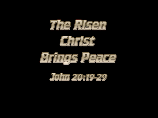





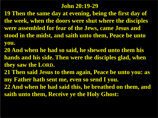#### **John 20:19-29**

**19 Then the same day at evening, being the first day of the week, when the doors were shut where the disciples were assembled for fear of the Jews, came Jesus and stood in the midst, and saith unto them, Peace be unto you.**

- **20 And when he had so said, he shewed unto them his hands and his side. Then were the disciples glad, when they saw the LORD.**
- **21 Then said Jesus to them again, Peace be unto you: as my Father hath sent me, even so send I you.**
- **22 And when he had said this, he breathed on them, and saith unto them, Receive ye the Holy Ghost:**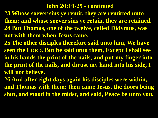#### **John 20:19-29 - continued**

- **23 Whose soever sins ye remit, they are remitted unto them; and whose soever sins ye retain, they are retained. 24 But Thomas, one of the twelve, called Didymus, was not with them when Jesus came.**
- **25 The other disciples therefore said unto him, We have seen the LORD. But he said unto them, Except I shall see in his hands the print of the nails, and put my finger into the print of the nails, and thrust my hand into his side, I will not believe.**
- **26 And after eight days again his disciples were within, and Thomas with them: then came Jesus, the doors being shut, and stood in the midst, and said, Peace be unto you.**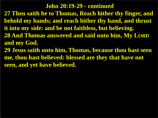#### **John 20:19-29 - continued**

**27 Then saith he to Thomas, Reach hither thy finger, and behold my hands; and reach hither thy hand, and thrust it into my side: and be not faithless, but believing. 28 And Thomas answered and said unto him, My LORD and my God.**

**29 Jesus saith unto him, Thomas, because thou hast seen me, thou hast believed: blessed are they that have not seen, and yet have believed.**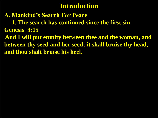### **Introduction**

**A. Mankind's Search For Peace 1. The search has continued since the first sin Genesis 3:15 And I will put enmity between thee and the woman, and between thy seed and her seed; it shall bruise thy head, and thou shalt bruise his heel.**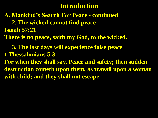### **Introduction**

**A. Mankind's Search For Peace - continued 2. The wicked cannot find peace Isaiah 57:21 There is no peace, saith my God, to the wicked. 3. The last days will experience false peace 1 Thessalonians 5:3 For when they shall say, Peace and safety; then sudden destruction cometh upon them, as travail upon a woman with child; and they shall not escape.**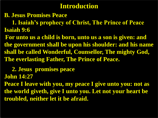### **Introduction**

**B. Jesus Promises Peace**

 **1. Isaiah's prophecy of Christ, The Prince of Peace Isaiah 9:6**

**For unto us a child is born, unto us a son is given: and the government shall be upon his shoulder: and his name shall be called Wonderful, Counsellor, The mighty God, The everlasting Father, The Prince of Peace.**

 **2. Jesus promises peace John 14:27**

**Peace I leave with you, my peace I give unto you: not as the world giveth, give I unto you. Let not your heart be troubled, neither let it be afraid.**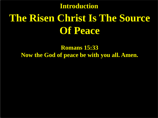# **The Risen Christ Is The Source Of Peace Introduction**

**Romans 15:33 Now the God of peace be with you all. Amen.**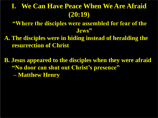# **I. We Can Have Peace When We Are Afraid (20:19)**

**"Where the disciples were assembled for fear of the Jews"**

**A. The disciples were in hiding instead of heralding the resurrection of Christ**

**B. Jesus appeared to the disciples when they were afraid "No door can shut out Christ's presence" – Matthew Henry**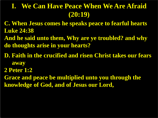# **I. We Can Have Peace When We Are Afraid (20:19)**

- **C. When Jesus comes he speaks peace to fearful hearts Luke 24:38**
- **And he said unto them, Why are ye troubled? and why do thoughts arise in your hearts?**
- **D. Faith in the crucified and risen Christ takes our fears away**
- **2 Peter 1:2**
- **Grace and peace be multiplied unto you through the knowledge of God, and of Jesus our Lord,**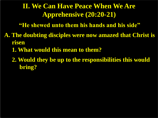# **II. We Can Have Peace When We Are Apprehensive (20:20-21)**

**"He shewed unto them his hands and his side"**

- **A. The doubting disciples were now amazed that Christ is risen**
	- **1. What would this mean to them?**

 **2. Would they be up to the responsibilities this would bring?**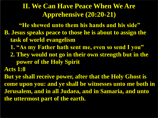## **II. We Can Have Peace When We Are Apprehensive (20:20-21)**

**"He shewed unto them his hands and his side" B. Jesus speaks peace to those he is about to assign the task of world evangelism**

- **1. "As my Father hath sent me, even so send I you"**
- **2. They would not go in their own strength but in the power of the Holy Spirit**

**Acts 1:8**

**But ye shall receive power, after that the Holy Ghost is come upon you: and ye shall be witnesses unto me both in Jerusalem, and in all Judaea, and in Samaria, and unto the uttermost part of the earth.**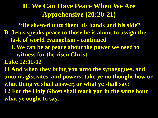## **II. We Can Have Peace When We Are Apprehensive (20:20-21)**

**"He shewed unto them his hands and his side" B. Jesus speaks peace to those he is about to assign the task of world evangelism - continued**

 **3. We can be at peace about the power we need to witness for the risen Christ**

**Luke 12:11-12**

**11 And when they bring you unto the synagogues, and unto magistrates, and powers, take ye no thought how or what thing ye shall answer, or what ye shall say: 12 For the Holy Ghost shall teach you in the same hour what ye ought to say.**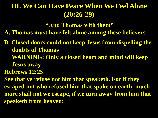# **III. We Can Have Peace When We Feel Alone (20:26-29)**

**"And Thomas with them"**

**A. Thomas must have felt alone among these believers** 

**B. Closed doors could not keep Jesus from dispelling the doubts of Thomas WARNING: Only a closed heart and mind will keep Jesus away**

**Hebrews 12:25**

**See that ye refuse not him that speaketh. For if they escaped not who refused him that spake on earth, much more shall not we escape, if we turn away from him that speaketh from heaven:**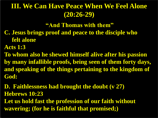# **III. We Can Have Peace When We Feel Alone (20:26-29)**

**"And Thomas with them"**

- **C. Jesus brings proof and peace to the disciple who felt alone**
- **Acts 1:3**

**To whom also he shewed himself alive after his passion by many infallible proofs, being seen of them forty days, and speaking of the things pertaining to the kingdom of God:**

**D. Faithlessness had brought the doubt (v 27) Hebrews 10:23**

**Let us hold fast the profession of our faith without wavering; (for he is faithful that promised;)**